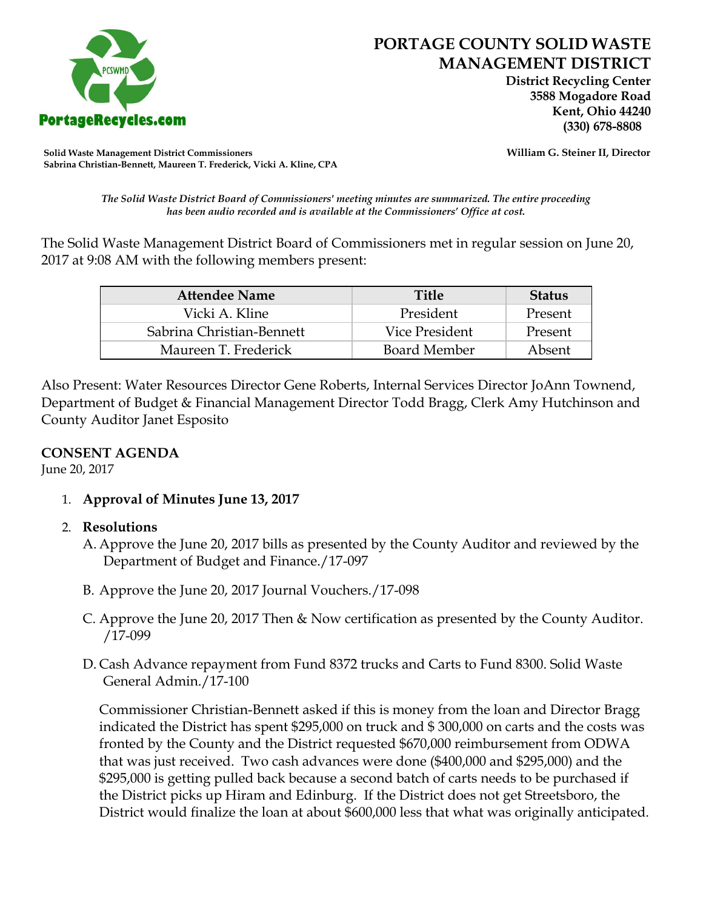

 **District Recycling Center 3588 Mogadore Road Kent, Ohio 44240**

**Solid Waste Management District Commissioners William G. Steiner II, Director Sabrina Christian-Bennett, Maureen T. Frederick, Vicki A. Kline, CPA**

*The Solid Waste District Board of Commissioners' meeting minutes are summarized. The entire proceeding has been audio recorded and is available at the Commissioners' Office at cost.*

The Solid Waste Management District Board of Commissioners met in regular session on June 20, 2017 at 9:08 AM with the following members present:

| <b>Attendee Name</b>      | <b>Title</b>        | <b>Status</b> |
|---------------------------|---------------------|---------------|
| Vicki A. Kline            | President           | Present       |
| Sabrina Christian-Bennett | Vice President      | Present       |
| Maureen T. Frederick      | <b>Board Member</b> | Absent        |

Also Present: Water Resources Director Gene Roberts, Internal Services Director JoAnn Townend, Department of Budget & Financial Management Director Todd Bragg, Clerk Amy Hutchinson and County Auditor Janet Esposito

#### **CONSENT AGENDA**

June 20, 2017

1. **Approval of Minutes June 13, 2017**

### 2. **Resolutions**

- A. Approve the June 20, 2017 bills as presented by the County Auditor and reviewed by the Department of Budget and Finance./17-097
- B. Approve the June 20, 2017 Journal Vouchers./17-098
- C. Approve the June 20, 2017 Then & Now certification as presented by the County Auditor. /17-099
- D. Cash Advance repayment from Fund 8372 trucks and Carts to Fund 8300. Solid Waste General Admin./17-100

Commissioner Christian-Bennett asked if this is money from the loan and Director Bragg indicated the District has spent \$295,000 on truck and \$ 300,000 on carts and the costs was fronted by the County and the District requested \$670,000 reimbursement from ODWA that was just received. Two cash advances were done (\$400,000 and \$295,000) and the \$295,000 is getting pulled back because a second batch of carts needs to be purchased if the District picks up Hiram and Edinburg. If the District does not get Streetsboro, the District would finalize the loan at about \$600,000 less that what was originally anticipated.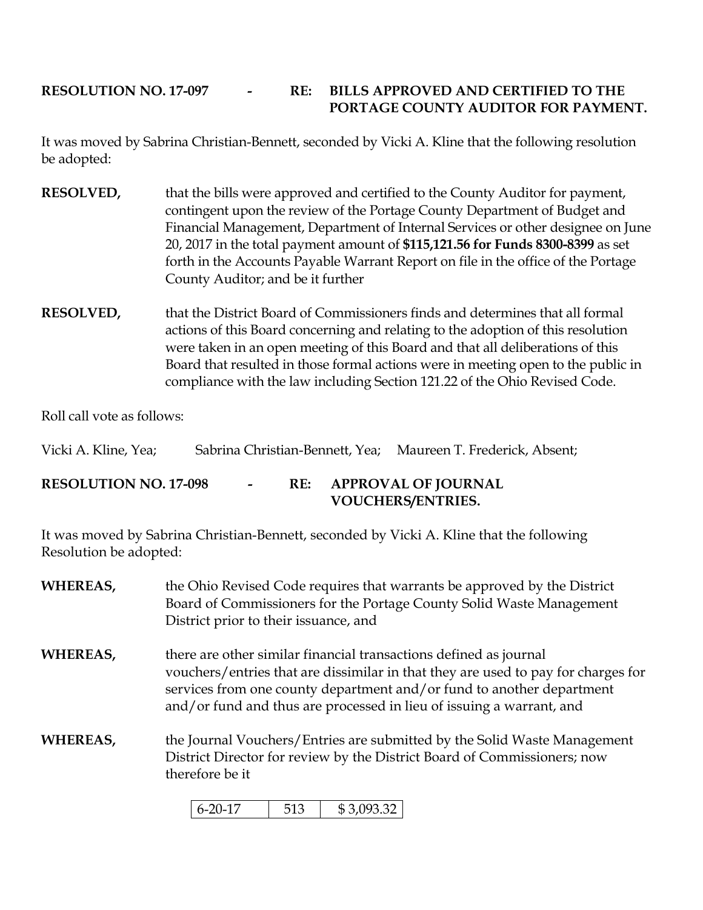# **RESOLUTION NO. 17-097 - RE: BILLS APPROVED AND CERTIFIED TO THE PORTAGE COUNTY AUDITOR FOR PAYMENT.**

It was moved by Sabrina Christian-Bennett, seconded by Vicki A. Kline that the following resolution be adopted:

- **RESOLVED,** that the bills were approved and certified to the County Auditor for payment, contingent upon the review of the Portage County Department of Budget and Financial Management, Department of Internal Services or other designee on June 20, 2017 in the total payment amount of **\$115,121.56 for Funds 8300-8399** as set forth in the Accounts Payable Warrant Report on file in the office of the Portage County Auditor; and be it further
- **RESOLVED,** that the District Board of Commissioners finds and determines that all formal actions of this Board concerning and relating to the adoption of this resolution were taken in an open meeting of this Board and that all deliberations of this Board that resulted in those formal actions were in meeting open to the public in compliance with the law including Section 121.22 of the Ohio Revised Code.

Roll call vote as follows:

| Vicki A. Kline, Yea;         |        |  | Sabrina Christian-Bennett, Yea; Maureen T. Frederick, Absent; |
|------------------------------|--------|--|---------------------------------------------------------------|
| <b>RESOLUTION NO. 17-098</b> | $\sim$ |  | RE: APPROVAL OF JOURNAL<br><b>VOUCHERS/ENTRIES.</b>           |

It was moved by Sabrina Christian-Bennett, seconded by Vicki A. Kline that the following Resolution be adopted:

- **WHEREAS,** the Ohio Revised Code requires that warrants be approved by the District Board of Commissioners for the Portage County Solid Waste Management District prior to their issuance, and **WHEREAS,** there are other similar financial transactions defined as journal vouchers/entries that are dissimilar in that they are used to pay for charges for services from one county department and/or fund to another department and/or fund and thus are processed in lieu of issuing a warrant, and
- **WHEREAS,** the Journal Vouchers/Entries are submitted by the Solid Waste Management District Director for review by the District Board of Commissioners; now therefore be it

| $\epsilon$ on $\epsilon$<br>$U=2U=$ |  | േ വാ വ<br>.UY.SSZ<br>JD. |
|-------------------------------------|--|--------------------------|
|-------------------------------------|--|--------------------------|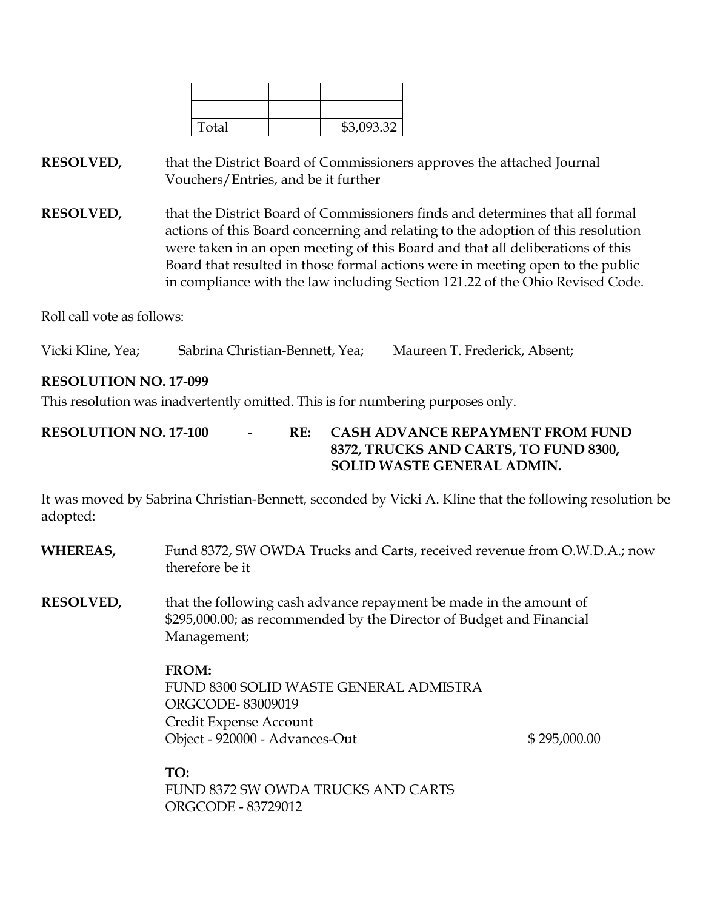| Total | \$3,093.32 |
|-------|------------|

**RESOLVED,** that the District Board of Commissioners approves the attached Journal Vouchers/Entries, and be it further

**RESOLVED,** that the District Board of Commissioners finds and determines that all formal actions of this Board concerning and relating to the adoption of this resolution were taken in an open meeting of this Board and that all deliberations of this Board that resulted in those formal actions were in meeting open to the public in compliance with the law including Section 121.22 of the Ohio Revised Code.

Roll call vote as follows:

Vicki Kline, Yea; Sabrina Christian-Bennett, Yea; Maureen T. Frederick, Absent;

## **RESOLUTION NO. 17-099**

This resolution was inadvertently omitted. This is for numbering purposes only.

## **RESOLUTION NO. 17-100 - RE: CASH ADVANCE REPAYMENT FROM FUND 8372, TRUCKS AND CARTS, TO FUND 8300, SOLID WASTE GENERAL ADMIN.**

It was moved by Sabrina Christian-Bennett, seconded by Vicki A. Kline that the following resolution be adopted:

| WHEREAS,         | Fund 8372, SW OWDA Trucks and Carts, received revenue from O.W.D.A.; now<br>therefore be it                                                               |              |  |
|------------------|-----------------------------------------------------------------------------------------------------------------------------------------------------------|--------------|--|
| <b>RESOLVED,</b> | that the following cash advance repayment be made in the amount of<br>\$295,000.00; as recommended by the Director of Budget and Financial<br>Management; |              |  |
|                  | <b>FROM:</b><br>FUND 8300 SOLID WASTE GENERAL ADMISTRA<br><b>ORGCODE-83009019</b><br>Credit Expense Account<br>Object - 920000 - Advances-Out             | \$295,000.00 |  |
|                  | TO:                                                                                                                                                       |              |  |

FUND 8372 SW OWDA TRUCKS AND CARTS ORGCODE - 83729012